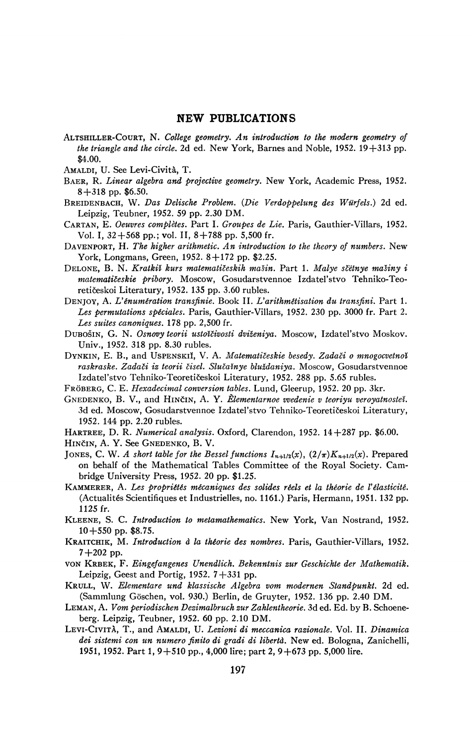## **NEW PUBLICATIONS**

- ALTSHILLER-COURT, N. College geometry. An introduction to the modern geometry of *the triangle and the circle.* 2d ed. New York, Barnes and Noble,  $1952$ .  $19+313$  pp. \$4.00.
- AMALDI, U. See Levi-Cività, T.
- BAER, R. Linear algebra and projective geometry. New York, Academic Press, 1952.  $8+318$  pp. \$6.50.
- BREIDENBACH, W. Das Delische Problem. (Die Verdoppelung des Würfels.) 2d ed. Leipzig, Teubner, 1952. 59 pp. 2.30 DM.
- CARTAN, E. Oeuvres complètes. Part I. Groupes de Lie. Paris, Gauthier-Villars, 1952. Vol. I,  $32+568$  pp.; vol. II,  $8+788$  pp. 5,500 fr.
- DAVENPORT, H. The higher arithmetic. An introduction to the theory of numbers. New York, Longmans, Green, 1952. 8+172 pp. \$2.25.
- DELONE, B. N. Kratkiž kurs matematičeskih mašin. Part 1. Malye sčëtnye mašiny i matematičeskie pribory. Moscow, Gosudarstvennoe Izdatel'stvo Tehniko-Teoretičeskoi Literatury, 1952. 135 pp. 3.60 rubles.
- DENJOY, A. L'énumération transfinie. Book II. L'arithmétisation du transfini. Part 1. Les permutations spéciales. Paris, Gauthier-Villars, 1952. 230 pp. 3000 fr. Part 2. Les suites canoniques. 178 pp. 2,500 fr.
- DUBOŠIN, G. N. Osnovy teorii ustotčivosti dviženiya. Moscow, Izdatel'stvo Moskov. Univ., 1952. 318 pp. 8.30 rubles.
- DYNKIN, E. B., and USPENSKII, V. A. Matematičeskie besedy. Zadači o mnogocvetnoi raskraske. Zadači iz teorii čisel. Slučainye bluždaniya. Moscow, Gosudarstvennoe Izdatel'stvo Tehniko-Teoretičeskoi Literatury, 1952. 288 pp. 5.65 rubles.
- FRÖBERG, C. E. Hexadecimal conversion tables. Lund, Gleerup, 1952. 20 pp. 3kr.
- GNEDENKO, B. V., and HINČIN, A. Y. Elementarnoe vvedenie v teoriyu veroyatnosteč. 3d ed. Moscow, Gosudarstvennoe Izdatel'stvo Tehniko-Teoretičeskoi Literatury, 1952. 144 pp. 2.20 rubles.
- HARTREE, D. R. Numerical analysis. Oxford, Clarendon, 1952. 14 + 287 pp. \$6.00.
- HINČIN, A. Y. See GNEDENKO, B. V.
- JONES, C. W. A short table for the Bessel functions  $I_{n+1/2}(x)$ ,  $(2/\pi)K_{n+1/2}(x)$ . Prepared on behalf of the Mathematical Tables Committee of the Royal Society. Cambridge University Press, 1952. 20 pp. \$1.25.
- KAMMERER, A. Les propriétés mécaniques des solides réels et la théorie de l'élasticité. (Actualités Scientifiques et Industrielles, no. 1161.) Paris, Hermann, 1951. 132 pp. 1125 fr.
- KLEENE, S. C. Introduction to metamathematics. New York, Van Nostrand, 1952.  $10+550$  pp. \$8.75.
- KRAITCHIK, M. Introduction à la théorie des nombres. Paris, Gauthier-Villars, 1952.  $7+202$  pp.
- VON KRBEK, F. Eingefangenes Unendlich. Bekenntnis zur Geschichte der Mathematik. Leipzig, Geest and Portig,  $1952.7 + 331$  pp.
- KRULL, W. Elementare und klassische Algebra vom modernen Standpunkt. 2d ed. (Sammlung Göschen, vol. 930.) Berlin, de Gruyter, 1952. 136 pp. 2.40 DM.
- LEMAN, A. Vom periodischen Dezimalbruch zur Zahlentheorie. 3d ed. Ed. by B. Schoeneberg. Leipzig, Teubner, 1952. 60 pp. 2.10 DM.
- LEVI-CIVITÀ, T., and AMALDI, U. Lezioni di meccanica razionale. Vol. II. Dinamica dei sistemi con un numero finito di gradi di libertà. New ed. Bologna, Zanichelli, 1951, 1952. Part 1, 9+510 pp., 4,000 lire; part 2, 9+673 pp. 5,000 lire.